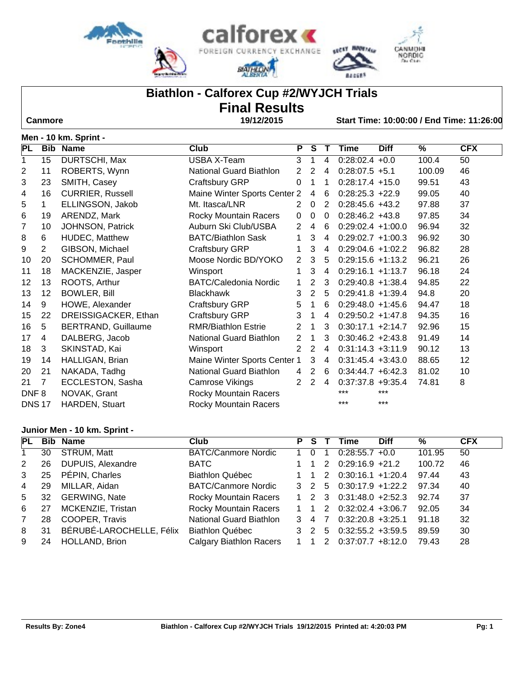





**SECSY MADRING** 

**BACERS** 

## **Biathlon - Calforex Cup #2/WYJCH Trials**

# **Final Results**

 **Canmore 19/12/2015 Start Time: 10:00:00 / End Time: 11:26:00**

|                  | Men - 10 km. Sprint - |                            |                              |                |                |                |                      |             |        |            |  |  |  |
|------------------|-----------------------|----------------------------|------------------------------|----------------|----------------|----------------|----------------------|-------------|--------|------------|--|--|--|
| PL               |                       | <b>Bib Name</b>            | <b>Club</b>                  | P              | S.             | $\mathsf{T}$   | Time                 | <b>Diff</b> | %      | <b>CFX</b> |  |  |  |
| 1                | 15                    | DURTSCHI, Max              | USBA X-Team                  | 3              | 1              | 4              | $0:28:02.4 +0.0$     |             | 100.4  | 50         |  |  |  |
| 2                | 11                    | ROBERTS, Wynn              | National Guard Biathlon      | 2              | 2              | 4              | $0:28:07.5 +5.1$     |             | 100.09 | 46         |  |  |  |
| 3                | 23                    | SMITH, Casey               | Craftsbury GRP               | 0              | 1              | 1              | $0:28:17.4 +15.0$    |             | 99.51  | 43         |  |  |  |
| 4                | 16                    | <b>CURRIER, Russell</b>    | Maine Winter Sports Center 2 |                | 4              | 6              | $0:28:25.3 +22.9$    |             | 99.05  | 40         |  |  |  |
| 5                | $\mathbf{1}$          | ELLINGSON, Jakob           | Mt. Itasca/LNR               | $\overline{2}$ | $\mathbf 0$    | $\overline{2}$ | $0:28:45.6 +43.2$    |             | 97.88  | 37         |  |  |  |
| 6                | 19                    | ARENDZ, Mark               | Rocky Mountain Racers        | 0              | $\mathbf 0$    | 0              | $0:28:46.2 +43.8$    |             | 97.85  | 34         |  |  |  |
| 7                | 10                    | JOHNSON, Patrick           | Auburn Ski Club/USBA         | 2              | 4              | 6              | $0:29:02.4 +1:00.0$  |             | 96.94  | 32         |  |  |  |
| 8                | 6                     | <b>HUDEC, Matthew</b>      | <b>BATC/Biathlon Sask</b>    | $\mathbf 1$    | 3              | 4              | $0:29:02.7 +1:00.3$  |             | 96.92  | 30         |  |  |  |
| 9                | $\overline{2}$        | GIBSON, Michael            | Craftsbury GRP               | 1              | 3              | 4              | $0:29:04.6 +1:02.2$  |             | 96.82  | 28         |  |  |  |
| 10               | 20                    | SCHOMMER, Paul             | Moose Nordic BD/YOKO         | 2              | 3              | 5              | $0:29:15.6 +1:13.2$  |             | 96.21  | 26         |  |  |  |
| 11               | 18                    | MACKENZIE, Jasper          | Winsport                     | 1              | 3              | 4              | $0:29:16.1 +1:13.7$  |             | 96.18  | 24         |  |  |  |
| 12               | 13                    | ROOTS, Arthur              | <b>BATC/Caledonia Nordic</b> | 1              | 2              | 3              | $0:29:40.8 +1:38.4$  |             | 94.85  | 22         |  |  |  |
| 13               | 12                    | <b>BOWLER, Bill</b>        | <b>Blackhawk</b>             | 3              | 2              | 5              | $0:29:41.8 +1:39.4$  |             | 94.8   | 20         |  |  |  |
| 14               | 9                     | HOWE, Alexander            | Craftsbury GRP               | 5              | 1              | 6              | $0:29:48.0 +1:45.6$  |             | 94.47  | 18         |  |  |  |
| 15               | 22                    | DREISSIGACKER, Ethan       | Craftsbury GRP               | 3              | 1              | 4              | $0:29:50.2 +1:47.8$  |             | 94.35  | 16         |  |  |  |
| 16               | 5                     | <b>BERTRAND, Guillaume</b> | <b>RMR/Biathlon Estrie</b>   | 2              | 1              | 3              | $0:30:17.1 +2:14.7$  |             | 92.96  | 15         |  |  |  |
| 17               | 4                     | DALBERG, Jacob             | National Guard Biathlon      | 2              | 1              | 3              | $0:30:46.2 +2:43.8$  |             | 91.49  | 14         |  |  |  |
| 18               | 3                     | SKINSTAD, Kai              | Winsport                     | 2              | 2              | 4              | $0:31:14.3 +3:11.9$  |             | 90.12  | 13         |  |  |  |
| 19               | 14                    | HALLIGAN, Brian            | Maine Winter Sports Center 1 |                | 3              | 4              | $0:31:45.4 + 3:43.0$ |             | 88.65  | 12         |  |  |  |
| 20               | 21                    | NAKADA, Tadhg              | National Guard Biathlon      | 4              | $\overline{2}$ | 6              | $0:34:44.7 + 6:42.3$ |             | 81.02  | 10         |  |  |  |
| 21               | $\overline{7}$        | ECCLESTON, Sasha           | Camrose Vikings              | 2              | $\overline{2}$ | 4              | $0:37:37.8 + 9:35.4$ |             | 74.81  | 8          |  |  |  |
| DNF <sub>8</sub> |                       | NOVAK, Grant               | Rocky Mountain Racers        |                |                |                | ***                  | $***$       |        |            |  |  |  |
| <b>DNS17</b>     |                       | HARDEN, Stuart             | <b>Rocky Mountain Racers</b> |                |                |                | ***                  | $***$       |        |            |  |  |  |

#### **Junior Men - 10 km. Sprint -**

| PL             |    | <b>Bib Name</b>          | Club                           | P.           | S.                  |                | <b>Diff</b><br>Time                                 | ℅      | <b>CFX</b> |
|----------------|----|--------------------------|--------------------------------|--------------|---------------------|----------------|-----------------------------------------------------|--------|------------|
|                | 30 | STRUM, Matt              | <b>BATC/Canmore Nordic</b>     |              | $\Omega$            |                | $0:28:55.7 +0.0$                                    | 101.95 | 50         |
| 2              | 26 | DUPUIS, Alexandre        | BATC                           |              |                     | 2              | $0:29:16.9$ +21.2                                   | 100.72 | 46         |
| 3              | 25 | PÉPIN, Charles           | <b>Biathlon Québec</b>         |              |                     | $\mathcal{P}$  | $0:30:16.1 +1:20.4$                                 | 97.44  | 43         |
| 4              | 29 | MILLAR, Aidan            | <b>BATC/Canmore Nordic</b>     |              |                     |                | $3 \quad 2 \quad 5 \quad 0:30:17.9 \text{ +}1:22.2$ | 97.34  | 40         |
| 5              | 32 | <b>GERWING, Nate</b>     | <b>Rocky Mountain Racers</b>   |              | $1 \quad 2 \quad 3$ |                | $0:31:48.0 +2:52.3$                                 | 92.74  | 37         |
| 6              | 27 | MCKENZIE, Tristan        | <b>Rocky Mountain Racers</b>   | 1 1          |                     | 2              | $0:32:02.4$ +3:06.7                                 | 92.05  | 34         |
| $\overline{7}$ | 28 | COOPER, Travis           | National Guard Biathlon        |              | $\overline{3}$ 4    | $\overline{7}$ | $0:32:20.8 + 3:25.1$                                | 91.18  | 32         |
| 8              | 31 | BÉRUBÉ-LAROCHELLE, Félix | <b>Biathlon Québec</b>         |              | $3\quad2$           | 5              | $0:32:55.2 +3:59.5$                                 | 89.59  | 30         |
| 9              | 24 | HOLLAND, Brion           | <b>Calgary Biathlon Racers</b> | $\mathbf{1}$ |                     | 2              | $0:37:07.7 + 8:12.0$                                | 79.43  | 28         |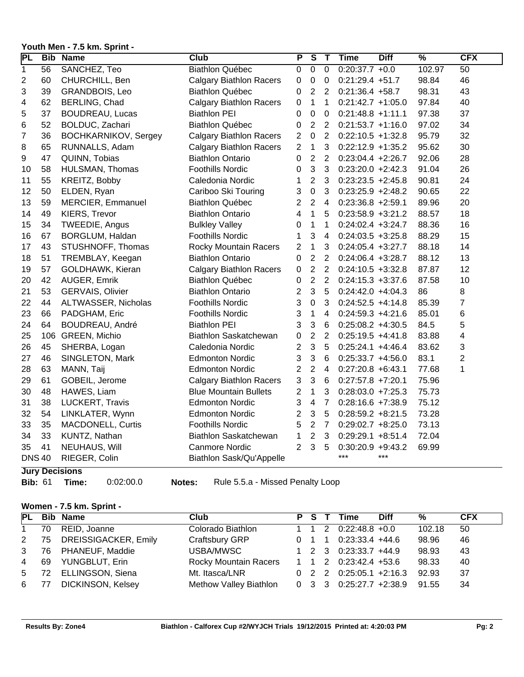#### **Youth Men - 7.5 km. Sprint -**

| PL             |    | <b>Bib Name</b>             | Club                           | $\overline{\mathsf{P}}$ | $\overline{\mathsf{s}}$ | $\overline{\mathsf{T}}$ | <b>Time</b>          | <b>Diff</b> | $\overline{\frac{9}{6}}$ | <b>CFX</b>      |
|----------------|----|-----------------------------|--------------------------------|-------------------------|-------------------------|-------------------------|----------------------|-------------|--------------------------|-----------------|
| $\overline{1}$ | 56 | SANCHEZ, Teo                | <b>Biathlon Québec</b>         | $\overline{0}$          | $\overline{0}$          | $\overline{0}$          | $0:20:37.7 +0.0$     |             | 102.97                   | $\overline{50}$ |
| $\overline{c}$ | 60 | CHURCHILL, Ben              | <b>Calgary Biathlon Racers</b> | $\mathbf 0$             | $\pmb{0}$               | 0                       | $0:21:29.4 +51.7$    |             | 98.84                    | 46              |
| 3              | 39 | GRANDBOIS, Leo              | <b>Biathlon Québec</b>         | 0                       | $\overline{2}$          | $\overline{2}$          | $0:21:36.4 +58.7$    |             | 98.31                    | 43              |
| 4              | 62 | BERLING, Chad               | <b>Calgary Biathlon Racers</b> | $\mathbf 0$             | $\mathbf{1}$            | 1                       | $0:21:42.7 +1:05.0$  |             | 97.84                    | 40              |
| 5              | 37 | <b>BOUDREAU, Lucas</b>      | <b>Biathlon PEI</b>            | 0                       | 0                       | 0                       | $0:21:48.8 +1:11.1$  |             | 97.38                    | 37              |
| 6              | 52 | BOLDUC, Zachari             | <b>Biathlon Québec</b>         | $\pmb{0}$               | $\boldsymbol{2}$        | $\overline{2}$          | $0:21:53.7 +1:16.0$  |             | 97.02                    | 34              |
| $\overline{7}$ | 36 | <b>BOCHKARNIKOV, Sergey</b> | <b>Calgary Biathlon Racers</b> | $\overline{2}$          | $\mathbf 0$             | 2                       | $0:22:10.5 +1:32.8$  |             | 95.79                    | 32              |
| 8              | 65 | RUNNALLS, Adam              | <b>Calgary Biathlon Racers</b> | $\overline{2}$          | $\mathbf{1}$            | 3                       | $0:22:12.9 +1:35.2$  |             | 95.62                    | 30              |
| 9              | 47 | QUINN, Tobias               | <b>Biathlon Ontario</b>        | $\mathbf 0$             | $\overline{2}$          | $\overline{2}$          | $0:23:04.4 +2:26.7$  |             | 92.06                    | 28              |
| 10             | 58 | HULSMAN, Thomas             | <b>Foothills Nordic</b>        | 0                       | 3                       | 3                       | $0:23:20.0 +2:42.3$  |             | 91.04                    | 26              |
| 11             | 55 | KREITZ, Bobby               | Caledonia Nordic               | 1                       | $\overline{2}$          | 3                       | $0:23:23.5 +2:45.8$  |             | 90.81                    | 24              |
| 12             | 50 | ELDEN, Ryan                 | Cariboo Ski Touring            | 3                       | $\mathbf 0$             | 3                       | $0:23:25.9 +2:48.2$  |             | 90.65                    | 22              |
| 13             | 59 | MERCIER, Emmanuel           | <b>Biathlon Québec</b>         | 2                       | $\overline{2}$          | $\overline{4}$          | $0:23:36.8 + 2:59.1$ |             | 89.96                    | 20              |
| 14             | 49 | KIERS, Trevor               | <b>Biathlon Ontario</b>        | 4                       | $\mathbf{1}$            | 5                       | $0:23:58.9 + 3:21.2$ |             | 88.57                    | 18              |
| 15             | 34 | TWEEDIE, Angus              | <b>Bulkley Valley</b>          | 0                       | $\mathbf{1}$            | 1                       | $0:24:02.4 +3:24.7$  |             | 88.36                    | 16              |
| 16             | 67 | BORGLUM, Haldan             | <b>Foothills Nordic</b>        | 1                       | 3                       | $\overline{4}$          | $0:24:03.5 +3:25.8$  |             | 88.29                    | 15              |
| 17             | 43 | STUSHNOFF, Thomas           | <b>Rocky Mountain Racers</b>   | $\overline{2}$          | $\mathbf{1}$            | 3                       | $0:24:05.4 +3:27.7$  |             | 88.18                    | 14              |
| 18             | 51 | TREMBLAY, Keegan            | <b>Biathlon Ontario</b>        | $\mathbf 0$             | $\overline{2}$          | $\overline{2}$          | $0:24:06.4 +3:28.7$  |             | 88.12                    | 13              |
| 19             | 57 | GOLDHAWK, Kieran            | <b>Calgary Biathlon Racers</b> | $\mathbf 0$             | $\overline{2}$          | $\overline{2}$          | $0:24:10.5 +3:32.8$  |             | 87.87                    | 12              |
| 20             | 42 | AUGER, Emrik                | <b>Biathlon Québec</b>         | 0                       | $\overline{2}$          | $\overline{2}$          | $0:24:15.3 +3:37.6$  |             | 87.58                    | 10              |
| 21             | 53 | <b>GERVAIS, Olivier</b>     | <b>Biathlon Ontario</b>        | 2                       | 3                       | 5                       | $0:24:42.0 +4:04.3$  |             | 86                       | 8               |
| 22             | 44 | ALTWASSER, Nicholas         | <b>Foothills Nordic</b>        | 3                       | $\mathsf 0$             | 3                       | $0:24:52.5 +4:14.8$  |             | 85.39                    | $\overline{7}$  |
| 23             | 66 | PADGHAM, Eric               | <b>Foothills Nordic</b>        | 3                       | $\mathbf 1$             | 4                       | $0:24:59.3 +4:21.6$  |             | 85.01                    | 6               |
| 24             | 64 | BOUDREAU, André             | <b>Biathlon PEI</b>            | 3                       | 3                       | 6                       | $0:25:08.2 +4:30.5$  |             | 84.5                     | 5               |
| 25             |    | 106 GREEN, Michio           | Biathlon Saskatchewan          | 0                       | $\overline{2}$          | $\overline{2}$          | $0:25:19.5 +4:41.8$  |             | 83.88                    | 4               |
| 26             | 45 | SHERBA, Logan               | Caledonia Nordic               | $\overline{\mathbf{c}}$ | 3                       | 5                       | $0:25:24.1 +4:46.4$  |             | 83.62                    | 3               |
| 27             | 46 | SINGLETON, Mark             | <b>Edmonton Nordic</b>         | 3                       | $\mathbf{3}$            | 6                       | $0:25:33.7 +4:56.0$  |             | 83.1                     | $\overline{2}$  |
| 28             | 63 | MANN, Taij                  | <b>Edmonton Nordic</b>         | $\overline{\mathbf{c}}$ | $\overline{2}$          | 4                       | $0:27:20.8 + 6:43.1$ |             | 77.68                    | 1               |
| 29             | 61 | GOBEIL, Jerome              | <b>Calgary Biathlon Racers</b> | 3                       | 3                       | 6                       | $0:27:57.8$ +7:20.1  |             | 75.96                    |                 |
| 30             | 48 | HAWES, Liam                 | <b>Blue Mountain Bullets</b>   | 2                       | $\mathbf{1}$            | 3                       | $0:28:03.0 + 7:25.3$ |             | 75.73                    |                 |
| 31             | 38 | LUCKERT, Travis             | <b>Edmonton Nordic</b>         | 3                       | $\overline{4}$          | $\overline{7}$          | $0:28:16.6 + 7:38.9$ |             | 75.12                    |                 |
| 32             | 54 | LINKLATER, Wynn             | <b>Edmonton Nordic</b>         | 2                       | 3                       | 5                       | $0:28:59.2 + 8:21.5$ |             | 73.28                    |                 |
| 33             | 35 | MACDONELL, Curtis           | <b>Foothills Nordic</b>        | 5                       | $\overline{c}$          | $\overline{7}$          | $0:29:02.7 + 8:25.0$ |             | 73.13                    |                 |
| 34             | 33 | KUNTZ, Nathan               | Biathlon Saskatchewan          | 1                       | $\overline{2}$          | 3                       | $0:29:29.1 + 8:51.4$ |             | 72.04                    |                 |
| 35             | 41 | NEUHAUS, Will               | <b>Canmore Nordic</b>          | $\overline{2}$          | 3                       | 5                       | $0:30:20.9 +9:43.2$  |             | 69.99                    |                 |
| <b>DNS40</b>   |    | RIEGER, Colin               | Biathlon Sask/Qu'Appelle       |                         |                         |                         | ***<br>$***$         |             |                          |                 |
|                |    | Toma Bastatana              |                                |                         |                         |                         |                      |             |                          |                 |

#### **Jury Decisions**

**Bib:** 61 **Time:** 0:02:00.0 **Notes:** Rule 5.5.a - Missed Penalty Loop

#### **Women - 7.5 km. Sprint -**

| <b>PL</b>      |    | <b>Bib Name</b>         | Club                                        |       | <b>P</b> S T Time                                 | <b>Diff</b> | %      | <b>CFX</b> |
|----------------|----|-------------------------|---------------------------------------------|-------|---------------------------------------------------|-------------|--------|------------|
| $\mathbf{1}$   | 70 | REID, Joanne            | Colorado Biathlon                           | 1 1 2 | $0:22:48.8$ +0.0                                  |             | 102.18 | 50         |
| $\mathbf{2}$   |    | 75 DREISSIGACKER, Emily | Craftsbury GRP                              |       | $0 \quad 1 \quad 1 \quad 0.23.33.4 \quad +44.6$   |             | 98.96  | 46         |
| 3 <sup>7</sup> |    | 76 PHANEUF, Maddie      | USBA/MWSC                                   |       | $1 \quad 2 \quad 3 \quad 0:23:33.7$ +44.9         |             | 98.93  | 43         |
| $\overline{4}$ | 69 | YUNGBLUT, Erin          | Rocky Mountain Racers 1 1 2 0:23:42.4 +53.6 |       |                                                   |             | 98.33  | 40         |
|                |    | 5 72 ELLINGSON, Siena   | Mt. Itasca/LNR                              |       | $0 \quad 2 \quad 2 \quad 0:25:05.1 \quad +2:16.3$ |             | 92.93  | 37         |
|                |    | 6 77 DICKINSON, Kelsey  | Methow Valley Biathlon                      |       | $0 \quad 3 \quad 3 \quad 0:25:27.7$ +2:38.9 91.55 |             |        | 34         |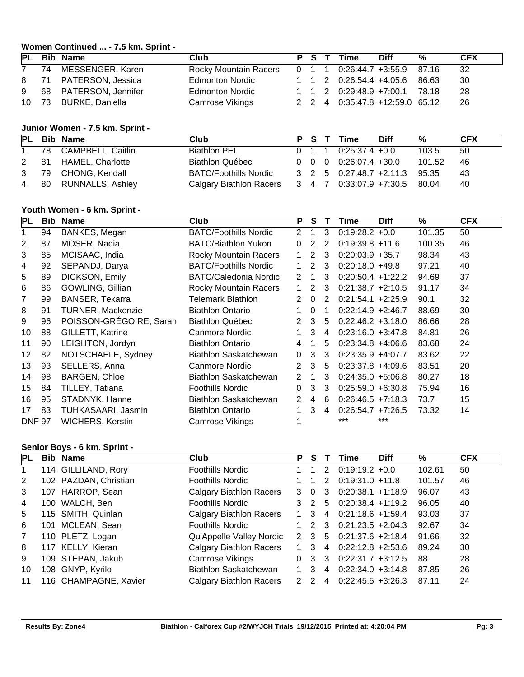### **Women Continued ... - 7.5 km. Sprint - PL Bib Name Club P S T Time Diff % CFX** 74 MESSENGER, Karen Rocky Mountain Racers 0 1 1 0:26:44.7 +3:55.9 87.16 32 71 PATERSON, Jessica Edmonton Nordic 1 1 2 0:26:54.4 +4:05.6 86.63 30 68 PATERSON, Jennifer Edmonton Nordic 1 1 2 0:29:48.9 +7:00.1 78.18 28

#### **Junior Women - 7.5 km. Sprint -**

|           | PL Bib Name           | Club                           |  | P S T Time                                     | <b>Diff</b> | %      | <b>CFX</b> |
|-----------|-----------------------|--------------------------------|--|------------------------------------------------|-------------|--------|------------|
| $1 \quad$ | 78 CAMPBELL, Caitlin  | Biathlon PEI                   |  | $0 \quad 1 \quad 1 \quad 0:25:37.4 \quad +0.0$ |             | 103.5  | 50         |
| 2 81      | HAMEL, Charlotte      | Biathlon Québec                |  | $0 \quad 0 \quad 0 \quad 0:26:07.4$ +30.0      |             | 101.52 | 46         |
| 3 79      | CHONG, Kendall        | <b>BATC/Foothills Nordic</b>   |  | 3 2 5 0:27:48.7 +2:11.3 95.35                  |             |        | 43         |
|           | 4 80 RUNNALLS, Ashley | <b>Calgary Biathlon Racers</b> |  | 3 4 7 0:33:07.9 +7:30.5 80.04                  |             |        | 40         |

73 BURKE, Daniella Camrose Vikings 2 2 4 0:35:47.8 +12:59.0 65.12 26

#### **Youth Women - 6 km. Sprint -**

| PL            | <b>Bib</b> | Name                    | <b>Club</b>                  | P                    | <b>S</b>     | Т  | Time                 | <b>Diff</b> | %      | <b>CFX</b> |
|---------------|------------|-------------------------|------------------------------|----------------------|--------------|----|----------------------|-------------|--------|------------|
| 1             | 94         | BANKES, Megan           | <b>BATC/Foothills Nordic</b> | 2                    | 1            | 3  | $0:19:28.2 +0.0$     |             | 101.35 | 50         |
| 2             | 87         | MOSER, Nadia            | <b>BATC/Biathlon Yukon</b>   | $\Omega$             | 2            | 2  | $0:19:39.8 +11.6$    |             | 100.35 | 46         |
| 3             | 85         | MCISAAC, India          | Rocky Mountain Racers        | $\mathbf 1$          | 2            | 3  | $0:20:03.9 + 35.7$   |             | 98.34  | 43         |
| 4             | 92         | SEPANDJ, Darya          | <b>BATC/Foothills Nordic</b> | $\mathbf 1$          | 2            | 3  | $0:20:18.0 + 49.8$   |             | 97.21  | 40         |
| 5             | 89         | DICKSON, Emily          | <b>BATC/Caledonia Nordic</b> | 2                    | -1           | 3  | $0:20:50.4 +1:22.2$  |             | 94.69  | 37         |
| 6             | 86         | GOWLING, Gillian        | Rocky Mountain Racers        | $\mathbf{1}$         | 2            | 3  | $0:21:38.7 +2:10.5$  |             | 91.17  | 34         |
| 7             | 99         | <b>BANSER, Tekarra</b>  | <b>Telemark Biathlon</b>     | 2                    | $\Omega$     | 2  | $0:21:54.1 + 2:25.9$ |             | 90.1   | 32         |
| 8             | 91         | TURNER, Mackenzie       | <b>Biathlon Ontario</b>      |                      | $\mathbf{0}$ |    | $0:22:14.9 +2:46.7$  |             | 88.69  | 30         |
| 9             | 96         | POISSON-GRÉGOIRE, Sarah | <b>Biathlon Québec</b>       | $\mathbf{2}^{\circ}$ | 3            | 5  | $0:22:46.2 +3:18.0$  |             | 86.66  | 28         |
| 10            | 88         | GILLETT, Katrine        | Canmore Nordic               | 1.                   | 3            | 4  | $0:23:16.0 + 3:47.8$ |             | 84.81  | 26         |
| 11            | 90         | LEIGHTON, Jordyn        | <b>Biathlon Ontario</b>      | 4                    |              | 5  | $0:23:34.8 +4:06.6$  |             | 83.68  | 24         |
| 12            | 82         | NOTSCHAELE, Sydney      | Biathlon Saskatchewan        | $\Omega$             | 3            | 3  | $0:23:35.9 +4:07.7$  |             | 83.62  | 22         |
| 13            | 93         | SELLERS, Anna           | <b>Canmore Nordic</b>        | $\overline{2}$       | 3            | 5  | $0:23:37.8 +4:09.6$  |             | 83.51  | 20         |
| 14            | 98         | <b>BARGEN, Chloe</b>    | Biathlon Saskatchewan        | 2                    | 1            | 3  | $0:24:35.0 + 5:06.8$ |             | 80.27  | 18         |
| 15            | 84         | TILLEY, Tatiana         | <b>Foothills Nordic</b>      | $\Omega$             | 3            | 3  | $0:25:59.0 + 6:30.8$ |             | 75.94  | 16         |
| 16            | 95         | STADNYK, Hanne          | Biathlon Saskatchewan        | $\mathbf{2}^{\circ}$ | 4            | -6 | $0:26:46.5 +7:18.3$  |             | 73.7   | 15         |
| 17            | 83         | TUHKASAARI, Jasmin      | <b>Biathlon Ontario</b>      | $\mathbf 1$          | 3            | 4  | $0:26:54.7 +7:26.5$  |             | 73.32  | 14         |
| <b>DNF 97</b> |            | <b>WICHERS, Kerstin</b> | Camrose Vikings              |                      |              |    | ***                  | ***         |        |            |

### **Senior Boys - 6 km. Sprint -**

| PL             |     | <b>Bib Name</b>       | Club                           | P.            | S.            |                | <b>Diff</b><br>Time  | %      | <b>CFX</b> |
|----------------|-----|-----------------------|--------------------------------|---------------|---------------|----------------|----------------------|--------|------------|
|                |     | 114 GILLILAND, Rory   | <b>Foothills Nordic</b>        |               |               | 2              | $0:19:19.2 +0.0$     | 102.61 | 50         |
| 2              |     | 102 PAZDAN, Christian | <b>Foothills Nordic</b>        |               |               | 2              | $0:19:31.0 + 11.8$   | 101.57 | 46         |
| 3              |     | 107 HARROP, Sean      | <b>Calgary Biathlon Racers</b> | 3             | - 0           | 3              | $0:20:38.1 +1:18.9$  | 96.07  | 43         |
| 4              |     | 100 WALCH, Ben        | <b>Foothills Nordic</b>        | 3             | $\mathcal{L}$ | 5              | $0:20:38.4 +1:19.2$  | 96.05  | 40         |
| 5              |     | 115 SMITH, Quinlan    | <b>Calgary Biathlon Racers</b> | $\mathbf{1}$  | 3             | $\overline{4}$ | $0:21:18.6 + 1:59.4$ | 93.03  | 37         |
| 6              | 101 | MCLEAN, Sean          | <b>Foothills Nordic</b>        |               | $\mathcal{P}$ | -3             | $0:21:23.5 +2:04.3$  | 92.67  | 34         |
| $\overline{7}$ |     | 110 PLETZ, Logan      | Qu'Appelle Valley Nordic       | 2 3           |               | $5^{\circ}$    | $0:21:37.6$ +2:18.4  | 91.66  | 32         |
| 8              |     | 117 KELLY, Kieran     | <b>Calgary Biathlon Racers</b> | $\mathbf{1}$  | 3             | 4              | $0:22:12.8$ +2:53.6  | 89.24  | 30         |
| 9              |     | 109 STEPAN, Jakub     | Camrose Vikings                | $\Omega$      | 3             | 3              | $0:22:31.7 +3:12.5$  | 88     | 28         |
| 10             |     | 108 GNYP, Kyrilo      | Biathlon Saskatchewan          | $\mathbf{1}$  | 3             | $\overline{4}$ | $0:22:34.0 +3:14.8$  | 87.85  | 26         |
| 11             |     | 116 CHAMPAGNE, Xavier | <b>Calgary Biathlon Racers</b> | $\mathcal{P}$ | -2            | 4              | $0:22:45.5 +3:26.3$  | 87.11  | 24         |